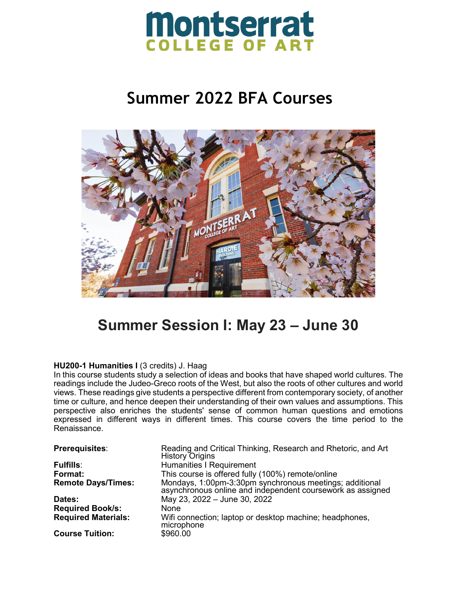

# **Summer 2022 BFA Courses**



# **Summer Session I: May 23 – June 30**

### **HU200-1 Humanities I** (3 credits) J. Haag

In this course students study a selection of ideas and books that have shaped world cultures. The readings include the Judeo-Greco roots of the West, but also the roots of other cultures and world views. These readings give students a perspective different from contemporary society, of another time or culture, and hence deepen their understanding of their own values and assumptions. This perspective also enriches the students' sense of common human questions and emotions expressed in different ways in different times. This course covers the time period to the Renaissance.

| Prerequisites:             | Reading and Critical Thinking, Research and Rhetoric, and Art<br><b>History Origins</b>                               |
|----------------------------|-----------------------------------------------------------------------------------------------------------------------|
| <b>Fulfills:</b>           | <b>Humanities I Requirement</b>                                                                                       |
| Format:                    | This course is offered fully (100%) remote/online                                                                     |
| <b>Remote Days/Times:</b>  | Mondays, 1:00pm-3:30pm synchronous meetings; additional<br>asynchronous online and independent coursework as assigned |
| <b>Dates:</b>              | May 23, 2022 - June 30, 2022                                                                                          |
| <b>Required Book/s:</b>    | None                                                                                                                  |
| <b>Required Materials:</b> | Wifi connection; laptop or desktop machine; headphones,<br>microphone                                                 |
| <b>Course Tuition:</b>     | \$960.00                                                                                                              |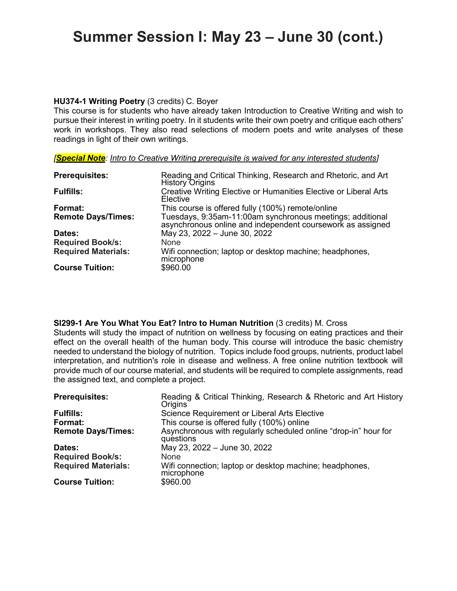# **Summer Session I: May 23 – June 30 (cont.)**

### **HU374-1 Writing Poetry** (3 credits) C. Boyer

This course is for students who have already taken Introduction to Creative Writing and wish to pursue their interest in writing poetry. In it students write their own poetry and critique each others' work in workshops. They also read selections of modern poets and write analyses of these readings in light of their own writings.

| <b>Prerequisites:</b>      | Reading and Critical Thinking, Research and Rhetoric, and Art<br><b>History Origins</b>                              |
|----------------------------|----------------------------------------------------------------------------------------------------------------------|
| <b>Fulfills:</b>           | Creative Writing Elective or Humanities Elective or Liberal Arts<br>Elective                                         |
| Format:                    | This course is offered fully (100%) remote/online                                                                    |
| <b>Remote Days/Times:</b>  | Tuesdays, 9:35am-11:00am synchronous meetings; additional asynchronous online and independent coursework as assigned |
| Dates:                     | May 23, 2022 - June 30, 2022                                                                                         |
| <b>Required Book/s:</b>    | <b>None</b>                                                                                                          |
| <b>Required Materials:</b> | Wifi connection; laptop or desktop machine; headphones,<br>microphone                                                |
| <b>Course Tuition:</b>     | \$960.00                                                                                                             |

## **SI299-1 Are You What You Eat? Intro to Human Nutrition** (3 credits) M. Cross

Students will study the impact of nutrition on wellness by focusing on eating practices and their effect on the overall health of the human body. This course will introduce the basic chemistry needed to understand the biology of nutrition. Topics include food groups, nutrients, product label interpretation, and nutrition's role in disease and wellness. A free online nutrition textbook will provide much of our course material, and students will be required to complete assignments, read the assigned text, and complete a project.

| <b>Prerequisites:</b>      | Reading & Critical Thinking, Research & Rhetoric and Art History<br>Origins  |
|----------------------------|------------------------------------------------------------------------------|
| <b>Fulfills:</b>           | <b>Science Requirement or Liberal Arts Elective</b>                          |
| Format:                    | This course is offered fully (100%) online                                   |
| <b>Remote Days/Times:</b>  | Asynchronous with regularly scheduled online "drop-in" hour for<br>questions |
| Dates:                     | May 23, 2022 - June 30, 2022                                                 |
| <b>Required Book/s:</b>    | None                                                                         |
| <b>Required Materials:</b> | Wifi connection; laptop or desktop machine; headphones,<br>microphone        |
| <b>Course Tuition:</b>     | \$960.00                                                                     |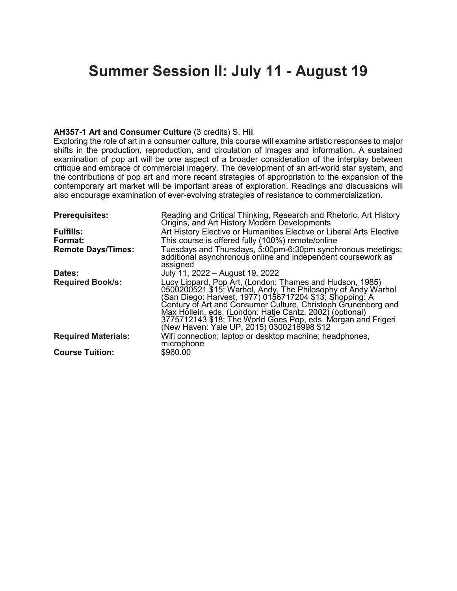# **Summer Session II: July 11 - August 19**

### **AH357-1 Art and Consumer Culture** (3 credits) S. Hill

Exploring the role of art in a consumer culture, this course will examine artistic responses to major shifts in the production, reproduction, and circulation of images and information. A sustained examination of pop art will be one aspect of a broader consideration of the interplay between critique and embrace of commercial imagery. The development of an art-world star system, and the contributions of pop art and more recent strategies of appropriation to the expansion of the contemporary art market will be important areas of exploration. Readings and discussions will also encourage examination of ever-evolving strategies of resistance to commercialization.

| <b>Prerequisites:</b>      | Reading and Critical Thinking, Research and Rhetoric, Art History<br>Origins, and Art History Modern Developments                                                                                                                                                                                                                                                                                                              |
|----------------------------|--------------------------------------------------------------------------------------------------------------------------------------------------------------------------------------------------------------------------------------------------------------------------------------------------------------------------------------------------------------------------------------------------------------------------------|
| <b>Fulfills:</b>           | Art History Elective or Humanities Elective or Liberal Arts Elective                                                                                                                                                                                                                                                                                                                                                           |
| Format:                    | This course is offered fully (100%) remote/online                                                                                                                                                                                                                                                                                                                                                                              |
| <b>Remote Days/Times:</b>  | Tuesdays and Thursdays, 5:00pm-6:30pm synchronous meetings;<br>additional asynchronous online and independent coursework as<br>assigned                                                                                                                                                                                                                                                                                        |
| Dates:                     | July 11, 2022 - August 19, 2022                                                                                                                                                                                                                                                                                                                                                                                                |
| <b>Required Book/s:</b>    | Lucy Lippard, Pop Art, (London: Thames and Hudson, 1985)<br>0500200521 \$15; Warhol, Andy, The Philosophy of Andy Warhol<br>(San Diego: Harvest, 1977) 0156717204 \$13; Shopping: A<br>Century of Art and Consumer Culture, Christoph Grunenberg and<br>Max Hóllein, eds. (London: Hatje Cantz, 2002) (optional)<br>3775712143 \$18; The World Goes Pop, eds. Morgan and Frigeri<br>(New Haven: Yale UP, 2015) 0300216998 \$12 |
| <b>Required Materials:</b> | Wifi connection; laptop or desktop machine; headphones,<br>microphone                                                                                                                                                                                                                                                                                                                                                          |
| <b>Course Tuition:</b>     | \$960.00                                                                                                                                                                                                                                                                                                                                                                                                                       |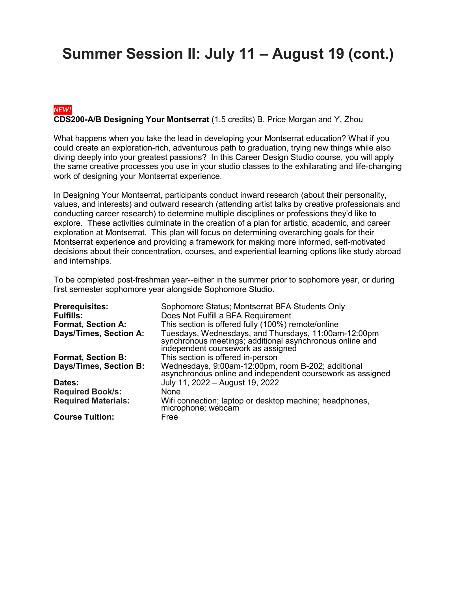# **Summer Session II: July 11 – August 19 (cont.)**

## *NEW!* **CDS200-A/B Designing Your Montserrat** (1.5 credits) B. Price Morgan and Y. Zhou

What happens when you take the lead in developing your Montserrat education? What if you could create an exploration-rich, adventurous path to graduation, trying new things while also diving deeply into your greatest passions? In this Career Design Studio course, you will apply the same creative processes you use in your studio classes to the exhilarating and life-changing work of designing your Montserrat experience.

In Designing Your Montserrat, participants conduct inward research (about their personality, values, and interests) and outward research (attending artist talks by creative professionals and conducting career research) to determine multiple disciplines or professions they'd like to explore. These activities culminate in the creation of a plan for artistic, academic, and career exploration at Montserrat. This plan will focus on determining overarching goals for their Montserrat experience and providing a framework for making more informed, self-motivated decisions about their concentration, courses, and experiential learning options like study abroad and internships.

To be completed post-freshman year--either in the summer prior to sophomore year, or during first semester sophomore year alongside Sophomore Studio.

| <b>Prerequisites:</b>      | Sophomore Status; Montserrat BFA Students Only                                                                                                         |
|----------------------------|--------------------------------------------------------------------------------------------------------------------------------------------------------|
| <b>Fulfills:</b>           | Does Not Fulfill a BFA Requirement                                                                                                                     |
| <b>Format, Section A:</b>  | This section is offered fully (100%) remote/online                                                                                                     |
| Days/Times, Section A:     | Tuesdays, Wednesdays, and Thursdays, 11:00am-12:00pm<br>synchronous meetings; additional asynchronous online and<br>independent coursework as assigned |
| <b>Format, Section B:</b>  | This section is offered in-person                                                                                                                      |
| Days/Times, Section B:     | Wednesdays, 9:00am-12:00pm, room B-202; additional<br>asynchronous online and independent coursework as assigned                                       |
| Dates:                     | July 11, 2022 - August 19, 2022                                                                                                                        |
| <b>Required Book/s:</b>    | None                                                                                                                                                   |
| <b>Required Materials:</b> | Wifi connection; laptop or desktop machine; headphones,<br>microphone; webcam                                                                          |
| <b>Course Tuition:</b>     | Free                                                                                                                                                   |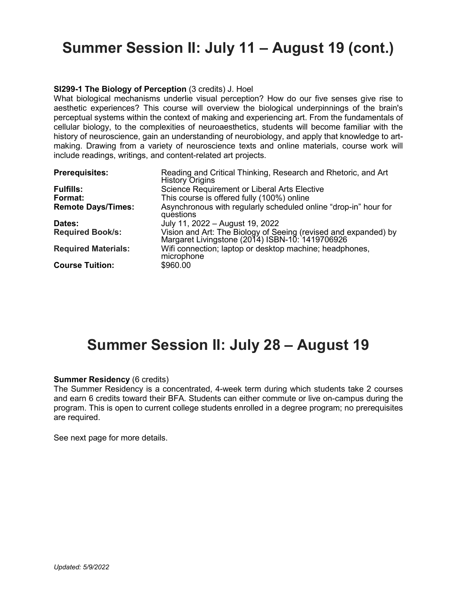# **Summer Session II: July 11 – August 19 (cont.)**

### **SI299-1 The Biology of Perception** (3 credits) J. Hoel

What biological mechanisms underlie visual perception? How do our five senses give rise to aesthetic experiences? This course will overview the biological underpinnings of the brain's perceptual systems within the context of making and experiencing art. From the fundamentals of cellular biology, to the complexities of neuroaesthetics, students will become familiar with the history of neuroscience, gain an understanding of neurobiology, and apply that knowledge to artmaking. Drawing from a variety of neuroscience texts and online materials, course work will include readings, writings, and content-related art projects.

| <b>Prerequisites:</b>      | Reading and Critical Thinking, Research and Rhetoric, and Art<br><b>History Origins</b>                         |
|----------------------------|-----------------------------------------------------------------------------------------------------------------|
| <b>Fulfills:</b>           | Science Requirement or Liberal Arts Elective                                                                    |
| Format:                    | This course is offered fully (100%) online                                                                      |
| <b>Remote Days/Times:</b>  | Asynchronous with regularly scheduled online "drop-in" hour for<br>questions                                    |
| Dates:                     | July 11, 2022 - August 19, 2022                                                                                 |
| <b>Required Book/s:</b>    | Vision and Art: The Biology of Seeing (revised and expanded) by Margaret Livingstone (2014) ISBN-10: 1419706926 |
| <b>Required Materials:</b> | Wifi connection; laptop or desktop machine; headphones,<br>microphone                                           |
| <b>Course Tuition:</b>     | \$960.00                                                                                                        |

# **Summer Session II: July 28 – August 19**

#### **Summer Residency** (6 credits)

The Summer Residency is a concentrated, 4-week term during which students take 2 courses and earn 6 credits toward their BFA. Students can either commute or live on-campus during the program. This is open to current college students enrolled in a degree program; no prerequisites are required.

See next page for more details.